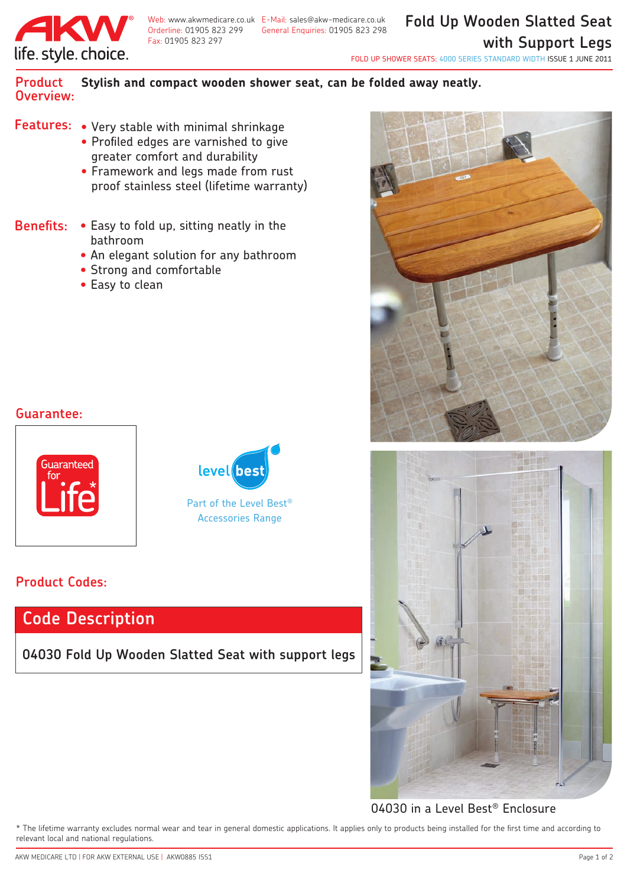

Web: www.akwmedicare.co.uk E-Mail: sales@akw-medicare.co.uk<br>Orderline: 01905 823 299 General Enguiries: 01905 823 298 Orderline: 01905 823 299 General Enquiries: 01905 823 298 Fax: 01905 823 297

**Fold Up Wooden Slatted Seat with Support Legs**

FOLD UP SHOWER SEATS: 4000 SERIES STANDARD WIDTH ISSUE 1 JUNE 2011

#### **Product Stylish and compact wooden shower seat, can be folded away neatly. Overview:**

- **Features:** Very stable with minimal shrinkage
	- Profiled edges are varnished to give greater comfort and durability
	- Framework and legs made from rust proof stainless steel (lifetime warranty)
- **Benefits:** Easy to fold up, sitting neatly in the bathroom
	- An elegant solution for any bathroom
	- Strong and comfortable
	- Easy to clean

### **Guarantee:**





Part of the Level Best® Accessories Range

## **Product Codes:**

# **Code Description**

**04030 Fold Up Wooden Slatted Seat with support legs**





04030 in a Level Best® Enclosure

\* The lifetime warranty excludes normal wear and tear in general domestic applications. It applies only to products being installed for the first time and according to relevant local and national regulations.